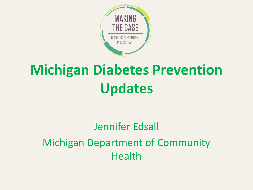

# **Michigan Diabetes Prevention Updates**

#### Jennifer Edsall Michigan Department of Community Health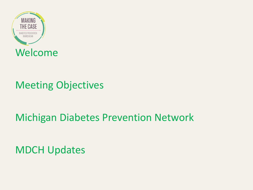

#### Meeting Objectives

#### Michigan Diabetes Prevention Network

MDCH Updates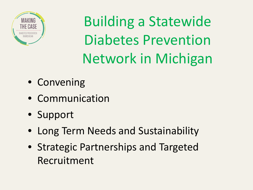

Building a Statewide Diabetes Prevention Network in Michigan

- Convening
- Communication
- Support
- Long Term Needs and Sustainability
- Strategic Partnerships and Targeted Recruitment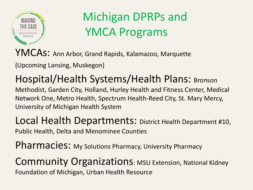

### Michigan DPRPs and YMCA Programs

YMCAS: Ann Arbor, Grand Rapids, Kalamazoo, Marquette

(Upcoming Lansing, Muskegon)

Hospital/Health Systems/Health Plans: Bronson Methodist, Garden City, Holland, Hurley Health and Fitness Center, Medical Network One, Metro Health, Spectrum Health-Reed City, St. Mary Mercy, University of Michigan Health System

Local Health Departments: District Health Department #10, Public Health, Delta and Menominee Counties

Pharmacies: My Solutions Pharmacy, University Pharmacy

Community Organizations: MSU Extension, National Kidney Foundation of Michigan, Urban Health Resource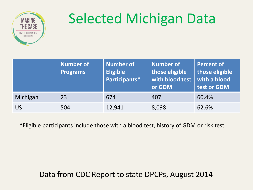

# Selected Michigan Data

|           | <b>Number of</b><br><b>Programs</b> | <b>Number of</b><br><b>Eligible</b><br>Participants* | Number of<br>those eligible<br>with blood test<br>or GDM | <b>Percent of</b><br>those eligible<br>with a blood<br>test or GDM |
|-----------|-------------------------------------|------------------------------------------------------|----------------------------------------------------------|--------------------------------------------------------------------|
| Michigan  | 23                                  | 674                                                  | 407                                                      | 60.4%                                                              |
| <b>US</b> | 504                                 | 12,941                                               | 8,098                                                    | 62.6%                                                              |

\*Eligible participants include those with a blood test, history of GDM or risk test

Data from CDC Report to state DPCPs, August 2014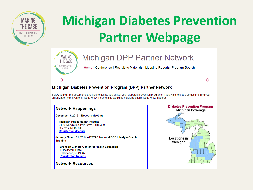

# **Michigan Diabetes Prevention Partner Webpage**



#### Michigan DPP Partner Network

Home | Conference | Recruiting Materials | Mapping Reports | Program Search

#### Michigan Diabetes Prevention Program (DPP) Partner Network

Below you will find documents and files to use as you deliver your diabetes prevention programs. If you want to share something from your organization with everyone, let us know! If something would be helpful to share, let us know that too!

#### **Network Happenings**

December 3, 2013 - Network Meeting

**Michigan Public Health Institute** 2436 Woodlake Circle Drive, Suite 300 Okemos, MI 48864 **Register for Meeting** 

January 30 and 31, 2014 - DTTAC National DPP Lifestyle Coach **Training** 

**Bronson Gilmore Center for Health Education** 7 Healthcare Plaza Kalamazoo, MI 49007 **Register for Training** 

**Network Resources** 

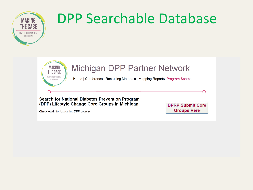

# MAKING NA DPP Searchable Database



#### **Michigan DPP Partner Network**

Home | Conference | Recruiting Materials | Mapping Reports| Program Search

#### **Search for National Diabetes Prevention Program** (DPP) Lifestyle Change Core Groups in Michigan

Check Again for Upcoming DPP courses.

**DPRP Submit Core Groups Here**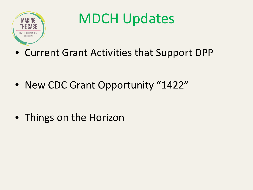

# MDCH Updates

• Current Grant Activities that Support DPP

• New CDC Grant Opportunity "1422"

• Things on the Horizon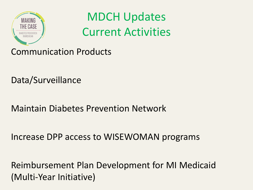

MDCH Updates Current Activities

Communication Products

Data/Surveillance

Maintain Diabetes Prevention Network

Increase DPP access to WISEWOMAN programs

Reimbursement Plan Development for MI Medicaid (Multi-Year Initiative)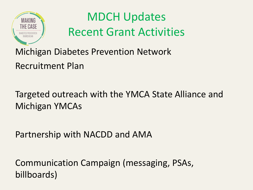

### MDCH Updates Recent Grant Activities

Michigan Diabetes Prevention Network Recruitment Plan

Targeted outreach with the YMCA State Alliance and Michigan YMCAs

Partnership with NACDD and AMA

Communication Campaign (messaging, PSAs, billboards)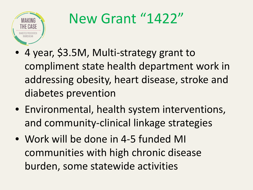

# New Grant "1422"

- 4 year, \$3.5M, Multi-strategy grant to compliment state health department work in addressing obesity, heart disease, stroke and diabetes prevention
- Environmental, health system interventions, and community-clinical linkage strategies
- Work will be done in 4-5 funded MI communities with high chronic disease burden, some statewide activities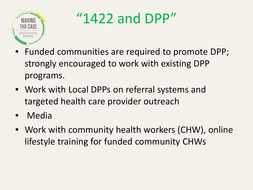

"1422 and DPP"

- Funded communities are required to promote DPP; strongly encouraged to work with existing DPP programs.
- Work with Local DPPs on referral systems and targeted health care provider outreach
- Media
- Work with community health workers (CHW), online lifestyle training for funded community CHWs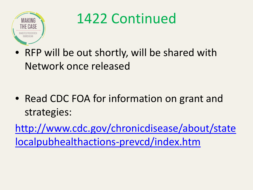

### 1422 Continued

• RFP will be out shortly, will be shared with Network once released

• Read CDC FOA for information on grant and strategies:

[http://www.cdc.gov/chronicdisease/about/state](http://www.cdc.gov/chronicdisease/about/statelocalpubhealthactions-prevcd/index.htm) [localpubhealthactions-prevcd/index.htm](http://www.cdc.gov/chronicdisease/about/statelocalpubhealthactions-prevcd/index.htm)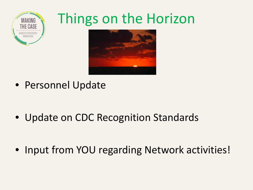

## Things on the Horizon



• Personnel Update

• Update on CDC Recognition Standards

• Input from YOU regarding Network activities!